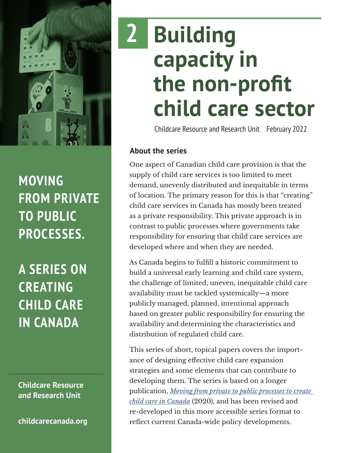

**MOVING FROM PRIVATE TO PUBLIC PROCESSES.**

**A SERIES ON CREATING CHILD CARE IN CANADA**

**Childcare Resource and Research Unit**

**[childcarecanada.org](http://childcarecanada.org)**

# **Building capacity in the non-profit child care sector 2**

Childcare Resource and Research Unit February 2022

## **About the series**

One aspect of Canadian child care provision is that the supply of child care services is too limited to meet demand, unevenly distributed and inequitable in terms of location. The primary reason for this is that "creating" child care services in Canada has mostly been treated as a private responsibility. This private approach is in contrast to public processes where governments take responsibility for ensuring that child care services are developed where and when they are needed.

As Canada begins to fulfill a historic commitment to build a universal early learning and child care system, the challenge of limited, uneven, inequitable child care availability must be tackled systemically—a more publicly managed, planned, intentional approach based on greater public responsibility for ensuring the availability and determining the characteristics and distribution of regulated child care.

This series of short, topical papers covers the importance of designing effective child care expansion strategies and some elements that can contribute to developing them. The series is based on a longer publication, *[Moving from private to public processes to create](https://childcarecanada.org/publications/other-publications/20/12/moving-private-public-processes-create-child-care-canada)  [child care in Canada](https://childcarecanada.org/publications/other-publications/20/12/moving-private-public-processes-create-child-care-canada)* (2020), and has been revised and re-developed in this more accessible series format to reflect current Canada-wide policy developments.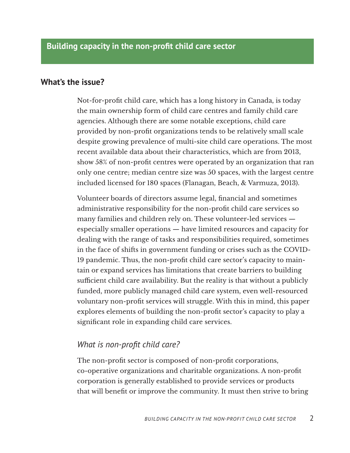#### **What's the issue?**

Not-for-profit child care, which has a long history in Canada, is today the main ownership form of child care centres and family child care agencies. Although there are some notable exceptions, child care provided by non-profit organizations tends to be relatively small scale despite growing prevalence of multi-site child care operations. The most recent available data about their characteristics, which are from 2013, show 58% of non-profit centres were operated by an organization that ran only one centre; median centre size was 50 spaces, with the largest centre included licensed for 180 spaces (Flanagan, Beach, & Varmuza, 2013).

Volunteer boards of directors assume legal, financial and sometimes administrative responsibility for the non-profit child care services so many families and children rely on. These volunteer-led services especially smaller operations — have limited resources and capacity for dealing with the range of tasks and responsibilities required, sometimes in the face of shifts in government funding or crises such as the COVID-19 pandemic. Thus, the non-profit child care sector's capacity to maintain or expand services has limitations that create barriers to building sufficient child care availability. But the reality is that without a publicly funded, more publicly managed child care system, even well-resourced voluntary non-profit services will struggle. With this in mind, this paper explores elements of building the non-profit sector's capacity to play a significant role in expanding child care services.

## *What is non-profit child care?*

The non-profit sector is composed of non-profit corporations, co-operative organizations and charitable organizations. A non-profit corporation is generally established to provide services or products that will benefit or improve the community. It must then strive to bring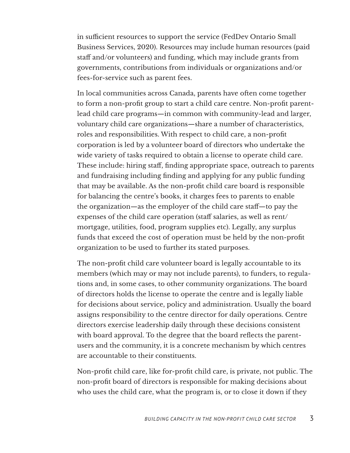in sufficient resources to support the service (FedDev Ontario Small Business Services, 2020). Resources may include human resources (paid staff and/or volunteers) and funding, which may include grants from governments, contributions from individuals or organizations and/or fees-for-service such as parent fees.

In local communities across Canada, parents have often come together to form a non-profit group to start a child care centre. Non-profit parentlead child care programs—in common with community-lead and larger, voluntary child care organizations—share a number of characteristics, roles and responsibilities. With respect to child care, a non-profit corporation is led by a volunteer board of directors who undertake the wide variety of tasks required to obtain a license to operate child care. These include: hiring staff, finding appropriate space, outreach to parents and fundraising including finding and applying for any public funding that may be available. As the non-profit child care board is responsible for balancing the centre's books, it charges fees to parents to enable the organization—as the employer of the child care staff—to pay the expenses of the child care operation (staff salaries, as well as rent/ mortgage, utilities, food, program supplies etc). Legally, any surplus funds that exceed the cost of operation must be held by the non-profit organization to be used to further its stated purposes.

The non-profit child care volunteer board is legally accountable to its members (which may or may not include parents), to funders, to regulations and, in some cases, to other community organizations. The board of directors holds the license to operate the centre and is legally liable for decisions about service, policy and administration. Usually the board assigns responsibility to the centre director for daily operations. Centre directors exercise leadership daily through these decisions consistent with board approval. To the degree that the board reflects the parentusers and the community, it is a concrete mechanism by which centres are accountable to their constituents.

Non-profit child care, like for-profit child care, is private, not public. The non-profit board of directors is responsible for making decisions about who uses the child care, what the program is, or to close it down if they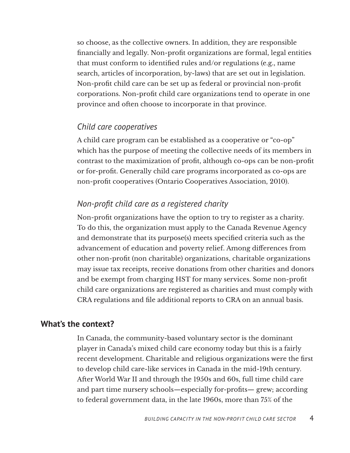so choose, as the collective owners. In addition, they are responsible financially and legally. Non-profit organizations are formal, legal entities that must conform to identified rules and/or regulations (e.g., name search, articles of incorporation, by-laws) that are set out in legislation. Non-profit child care can be set up as federal or provincial non-profit corporations. Non-profit child care organizations tend to operate in one province and often choose to incorporate in that province.

## *Child care cooperatives*

A child care program can be established as a cooperative or "co-op" which has the purpose of meeting the collective needs of its members in contrast to the maximization of profit, although co-ops can be non-profit or for-profit. Generally child care programs incorporated as co-ops are non-profit cooperatives (Ontario Cooperatives Association, 2010).

## *Non-profit child care as a registered charity*

Non-profit organizations have the option to try to register as a charity. To do this, the organization must apply to the Canada Revenue Agency and demonstrate that its purpose(s) meets specified criteria such as the advancement of education and poverty relief. Among differences from other non-profit (non charitable) organizations, charitable organizations may issue tax receipts, receive donations from other charities and donors and be exempt from charging HST for many services. Some non-profit child care organizations are registered as charities and must comply with CRA regulations and file additional reports to CRA on an annual basis.

## **What's the context?**

In Canada, the community-based voluntary sector is the dominant player in Canada's mixed child care economy today but this is a fairly recent development. Charitable and religious organizations were the first to develop child care-like services in Canada in the mid-19th century. After World War II and through the 1950s and 60s, full time child care and part time nursery schools—especially for-profits— grew; according to federal government data, in the late 1960s, more than 75% of the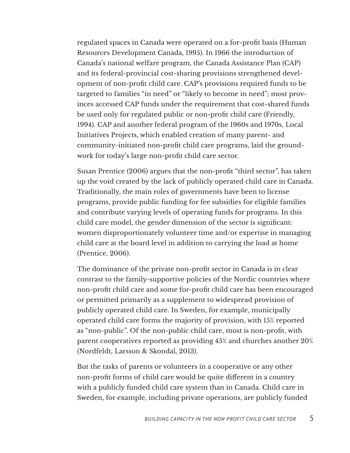regulated spaces in Canada were operated on a for-profit basis (Human Resources Development Canada, 1995). In 1966 the introduction of Canada's national welfare program, the Canada Assistance Plan (CAP) and its federal-provincial cost-sharing provisions strengthened development of non-profit child care. CAP's provisions required funds to be targeted to families "in need" or "likely to become in need"; most provinces accessed CAP funds under the requirement that cost-shared funds be used only for regulated public or non-profit child care (Friendly, 1994). CAP and another federal program of the 1960s and 1970s, Local Initiatives Projects, which enabled creation of many parent- and community-initiated non-profit child care programs, laid the groundwork for today's large non-profit child care sector.

Susan Prentice (2006) argues that the non-profit "third sector", has taken up the void created by the lack of publicly operated child care in Canada. Traditionally, the main roles of governments have been to license programs, provide public funding for fee subsidies for eligible families and contribute varying levels of operating funds for programs. In this child care model, the gender dimension of the sector is significant: women disproportionately volunteer time and/or expertise in managing child care at the board level in addition to carrying the load at home (Prentice, 2006).

The dominance of the private non-profit sector in Canada is in clear contrast to the family-supportive policies of the Nordic countries where non-profit child care and some for-profit child care has been encouraged or permitted primarily as a supplement to widespread provision of publicly operated child care. In Sweden, for example, municipally operated child care forms the majority of provision, with 15% reported as "non-public". Of the non-public child care, most is non-profit, with parent cooperatives reported as providing 45% and churches another 20% (Nordfeldt, Larsson & Skondal, 2013).

But the tasks of parents or volunteers in a cooperative or any other non-profit forms of child care would be quite different in a country with a publicly funded child care system than in Canada. Child care in Sweden, for example, including private operations, are publicly funded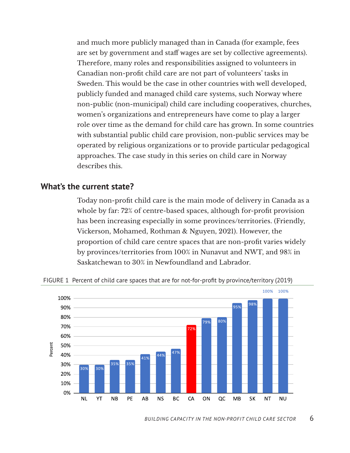and much more publicly managed than in Canada (for example, fees are set by government and staff wages are set by collective agreements). Therefore, many roles and responsibilities assigned to volunteers in Canadian non-profit child care are not part of volunteers' tasks in Sweden. This would be the case in other countries with well developed, publicly funded and managed child care systems, such Norway where non-public (non-municipal) child care including cooperatives, churches, women's organizations and entrepreneurs have come to play a larger role over time as the demand for child care has grown. In some countries with substantial public child care provision, non-public services may be operated by religious organizations or to provide particular pedagogical approaches. The case study in this series on child care in Norway describes this.

#### **What's the current state?**

Today non-profit child care is the main mode of delivery in Canada as a whole by far: 72% of centre-based spaces, although for-profit provision has been increasing especially in some provinces/territories. (Friendly, Vickerson, Mohamed, Rothman & Nguyen, 2021). However, the proportion of child care centre spaces that are non-profit varies widely by provinces/territories from 100% in Nunavut and NWT, and 98% in Saskatchewan to 30% in Newfoundland and Labrador.



FIGURE 1 Percent of child care spaces that are for not-for-profit by province/territory (2019)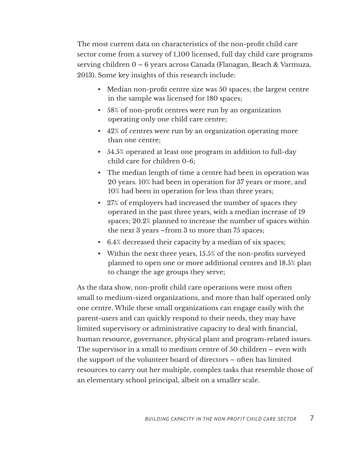The most current data on characteristics of the non-profit child care sector come from a survey of 1,100 licensed, full day child care programs serving children 0 – 6 years across Canada (Flanagan, Beach & Varmuza, 2013). Some key insights of this research include:

- Median non-profit centre size was 50 spaces; the largest centre in the sample was licensed for 180 spaces;
- 58% of non-profit centres were run by an organization operating only one child care centre;
- 42% of centres were run by an organization operating more than one centre;
- 54.5% operated at least one program in addition to full-day child care for children 0-6;
- The median length of time a centre had been in operation was 20 years. 10% had been in operation for 37 years or more, and 10% had been in operation for less than three years;
- 27% of employers had increased the number of spaces they operated in the past three years, with a median increase of 19 spaces; 20.2% planned to increase the number of spaces within the next 3 years –from 3 to more than 75 spaces;
- 6.4% decreased their capacity by a median of six spaces;
- Within the next three years, 15.5% of the non-profits surveyed planned to open one or more additional centres and 18.5% plan to change the age groups they serve;

As the data show, non-profit child care operations were most often small to medium-sized organizations, and more than half operated only one centre. While these small organizations can engage easily with the parent-users and can quickly respond to their needs, they may have limited supervisory or administrative capacity to deal with financial, human resource, governance, physical plant and program-related issues. The supervisor in a small to medium centre of 50 children – even with the support of the volunteer board of directors – often has limited resources to carry out her multiple, complex tasks that resemble those of an elementary school principal, albeit on a smaller scale.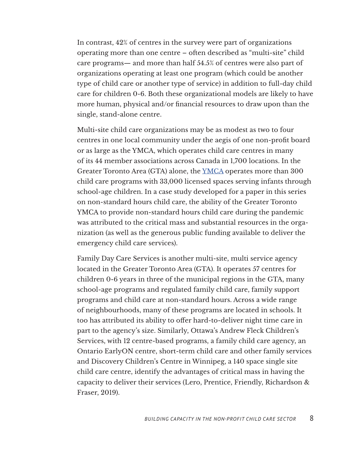In contrast, 42% of centres in the survey were part of organizations operating more than one centre – often described as "multi-site" child care programs— and more than half 54.5% of centres were also part of organizations operating at least one program (which could be another type of child care or another type of service) in addition to full-day child care for children 0-6. Both these organizational models are likely to have more human, physical and/or financial resources to draw upon than the single, stand-alone centre.

Multi-site child care organizations may be as modest as two to four centres in one local community under the aegis of one non-profit board or as large as the YMCA, which operates child care centres in many of its 44 member associations across Canada in 1,700 locations. In the Greater Toronto Area (GTA) alone, the [YMCA](https://ymcagta.org/child-care) operates more than 300 child care programs with 33,000 licensed spaces serving infants through school-age children. In a case study developed for a paper in this series on non-standard hours child care, the ability of the Greater Toronto YMCA to provide non-standard hours child care during the pandemic was attributed to the critical mass and substantial resources in the organization (as well as the generous public funding available to deliver the emergency child care services).

Family Day Care Services is another multi-site, multi service agency located in the Greater Toronto Area (GTA). It operates 57 centres for children 0-6 years in three of the municipal regions in the GTA, many school-age programs and regulated family child care, family support programs and child care at non-standard hours. Across a wide range of neighbourhoods, many of these programs are located in schools. It too has attributed its ability to offer hard-to-deliver night time care in part to the agency's size. Similarly, Ottawa's Andrew Fleck Children's Services, with 12 centre-based programs, a family child care agency, an Ontario EarlyON centre, short-term child care and other family services and Discovery Children's Centre in Winnipeg, a 140 space single site child care centre, identify the advantages of critical mass in having the capacity to deliver their services (Lero, Prentice, Friendly, Richardson & Fraser, 2019).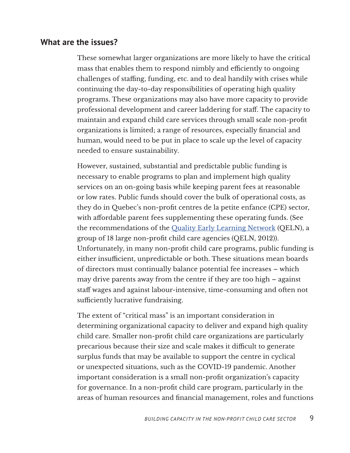## **What are the issues?**

These somewhat larger organizations are more likely to have the critical mass that enables them to respond nimbly and efficiently to ongoing challenges of staffing, funding, etc. and to deal handily with crises while continuing the day-to-day responsibilities of operating high quality programs. These organizations may also have more capacity to provide professional development and career laddering for staff. The capacity to maintain and expand child care services through small scale non-profit organizations is limited; a range of resources, especially financial and human, would need to be put in place to scale up the level of capacity needed to ensure sustainability.

However, sustained, substantial and predictable public funding is necessary to enable programs to plan and implement high quality services on an on-going basis while keeping parent fees at reasonable or low rates. Public funds should cover the bulk of operational costs, as they do in Quebec's non-profit centres de la petite enfance (CPE) sector, with affordable parent fees supplementing these operating funds. (See the recommendations of the [Quality Early Learning Network](https://familydaycare.com/wp-content/uploads/QELN-Solutions-2012.pdf) (QELN), a group of 18 large non-profit child care agencies (QELN, 2012)). Unfortunately, in many non-profit child care programs, public funding is either insufficient, unpredictable or both. These situations mean boards of directors must continually balance potential fee increases – which may drive parents away from the centre if they are too high – against staff wages and against labour-intensive, time-consuming and often not sufficiently lucrative fundraising.

The extent of "critical mass" is an important consideration in determining organizational capacity to deliver and expand high quality child care. Smaller non-profit child care organizations are particularly precarious because their size and scale makes it difficult to generate surplus funds that may be available to support the centre in cyclical or unexpected situations, such as the COVID-19 pandemic. Another important consideration is a small non-profit organization's capacity for governance. In a non-profit child care program, particularly in the areas of human resources and financial management, roles and functions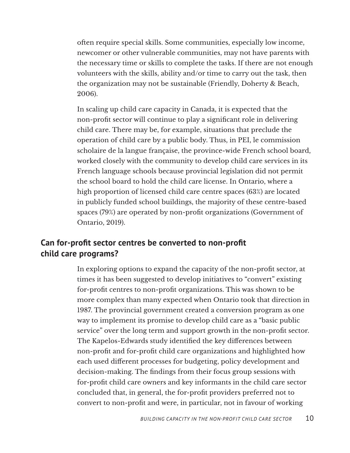often require special skills. Some communities, especially low income, newcomer or other vulnerable communities, may not have parents with the necessary time or skills to complete the tasks. If there are not enough volunteers with the skills, ability and/or time to carry out the task, then the organization may not be sustainable (Friendly, Doherty & Beach, 2006).

In scaling up child care capacity in Canada, it is expected that the non-profit sector will continue to play a significant role in delivering child care. There may be, for example, situations that preclude the operation of child care by a public body. Thus, in PEI, le commission scholaire de la langue française, the province-wide French school board, worked closely with the community to develop child care services in its French language schools because provincial legislation did not permit the school board to hold the child care license. In Ontario, where a high proportion of licensed child care centre spaces (63%) are located in publicly funded school buildings, the majority of these centre-based spaces (79%) are operated by non-profit organizations (Government of Ontario, 2019).

## **Can for-profit sector centres be converted to non-profit child care programs?**

In exploring options to expand the capacity of the non-profit sector, at times it has been suggested to develop initiatives to "convert" existing for-profit centres to non-profit organizations. This was shown to be more complex than many expected when Ontario took that direction in 1987. The provincial government created a conversion program as one way to implement its promise to develop child care as a "basic public service" over the long term and support growth in the non-profit sector. The Kapelos-Edwards study identified the key differences between non-profit and for-profit child care organizations and highlighted how each used different processes for budgeting, policy development and decision-making. The findings from their focus group sessions with for-profit child care owners and key informants in the child care sector concluded that, in general, the for-profit providers preferred not to convert to non-profit and were, in particular, not in favour of working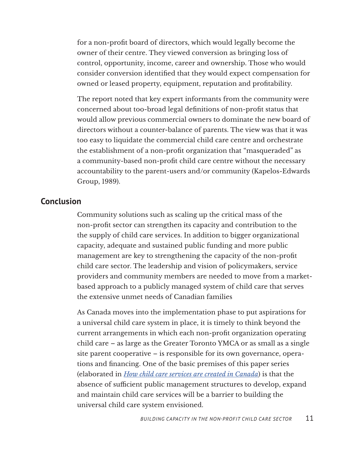for a non-profit board of directors, which would legally become the owner of their centre. They viewed conversion as bringing loss of control, opportunity, income, career and ownership. Those who would consider conversion identified that they would expect compensation for owned or leased property, equipment, reputation and profitability.

The report noted that key expert informants from the community were concerned about too-broad legal definitions of non-profit status that would allow previous commercial owners to dominate the new board of directors without a counter-balance of parents. The view was that it was too easy to liquidate the commercial child care centre and orchestrate the establishment of a non-profit organization that "masqueraded" as a community-based non-profit child care centre without the necessary accountability to the parent-users and/or community (Kapelos-Edwards Group, 1989).

## **Conclusion**

Community solutions such as scaling up the critical mass of the non-profit sector can strengthen its capacity and contribution to the the supply of child care services. In addition to bigger organizational capacity, adequate and sustained public funding and more public management are key to strengthening the capacity of the non-profit child care sector. The leadership and vision of policymakers, service providers and community members are needed to move from a marketbased approach to a publicly managed system of child care that serves the extensive unmet needs of Canadian families

As Canada moves into the implementation phase to put aspirations for a universal child care system in place, it is timely to think beyond the current arrangements in which each non-profit organization operating child care – as large as the Greater Toronto YMCA or as small as a single site parent cooperative – is responsible for its own governance, operations and financing. One of the basic premises of this paper series (elaborated in *[How child care services are created in Canada](https://childcarecanada.org/publications/other-publications/22/01/how-child-care-services-are-created-canada)*) is that the absence of sufficient public management structures to develop, expand and maintain child care services will be a barrier to building the universal child care system envisioned.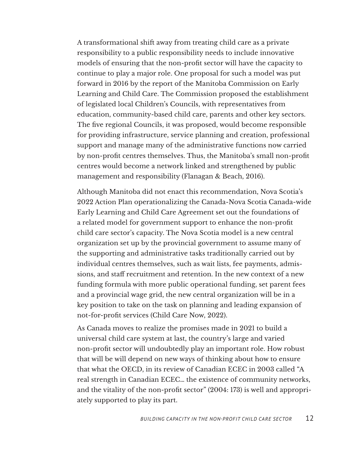A transformational shift away from treating child care as a private responsibility to a public responsibility needs to include innovative models of ensuring that the non-profit sector will have the capacity to continue to play a major role. One proposal for such a model was put forward in 2016 by the report of the Manitoba Commission on Early Learning and Child Care. The Commission proposed the establishment of legislated local Children's Councils, with representatives from education, community-based child care, parents and other key sectors. The five regional Councils, it was proposed, would become responsible for providing infrastructure, service planning and creation, professional support and manage many of the administrative functions now carried by non-profit centres themselves. Thus, the Manitoba's small non-profit centres would become a network linked and strengthened by public management and responsibility (Flanagan & Beach, 2016).

Although Manitoba did not enact this recommendation, Nova Scotia's 2022 Action Plan operationalizing the Canada-Nova Scotia Canada-wide Early Learning and Child Care Agreement set out the foundations of a related model for government support to enhance the non-profit child care sector's capacity. The Nova Scotia model is a new central organization set up by the provincial government to assume many of the supporting and administrative tasks traditionally carried out by individual centres themselves, such as wait lists, fee payments, admissions, and staff recruitment and retention. In the new context of a new funding formula with more public operational funding, set parent fees and a provincial wage grid, the new central organization will be in a key position to take on the task on planning and leading expansion of not-for-profit services (Child Care Now, 2022).

As Canada moves to realize the promises made in 2021 to build a universal child care system at last, the country's large and varied non-profit sector will undoubtedly play an important role. How robust that will be will depend on new ways of thinking about how to ensure that what the OECD, in its review of Canadian ECEC in 2003 called "A real strength in Canadian ECEC… the existence of community networks, and the vitality of the non-profit sector" (2004: 173) is well and appropriately supported to play its part.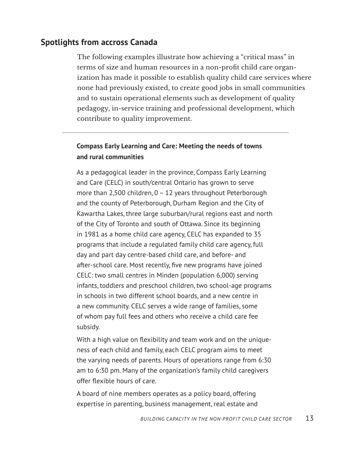## **Spotlights from accross Canada**

The following examples illustrate how achieving a "critical mass" in terms of size and human resources in a non-profit child care organization has made it possible to establish quality child care services where none had previously existed, to create good jobs in small communities and to sustain operational elements such as development of quality pedagogy, in-service training and professional development, which contribute to quality improvement.

## **Compass Early Learning and Care: Meeting the needs of towns and rural communities**

As a pedagogical leader in the province, Compass Early Learning and Care (CELC) in south/central Ontario has grown to serve more than 2,500 children, 0 – 12 years throughout Peterborough and the county of Peterborough, Durham Region and the City of Kawartha Lakes, three large suburban/rural regions east and north of the City of Toronto and south of Ottawa. Since its beginning in 1981 as a home child care agency, CELC has expanded to 35 programs that include a regulated family child care agency, full day and part day centre-based child care, and before- and after-school care. Most recently, five new programs have joined CELC: two small centres in Minden (population 6,000) serving infants, toddlers and preschool children, two school-age programs in schools in two different school boards, and a new centre in a new community. CELC serves a wide range of families, some of whom pay full fees and others who receive a child care fee subsidy.

With a high value on flexibility and team work and on the uniqueness of each child and family, each CELC program aims to meet the varying needs of parents. Hours of operations range from 6:30 am to 6:30 pm. Many of the organization's family child caregivers offer flexible hours of care.

A board of nine members operates as a policy board, offering expertise in parenting, business management, real estate and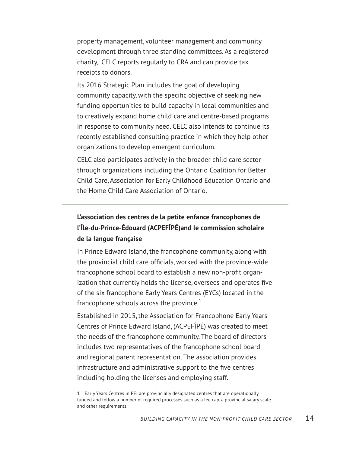property management, volunteer management and community development through three standing committees. As a registered charity, CELC reports regularly to CRA and can provide tax receipts to donors.

Its 2016 Strategic Plan includes the goal of developing community capacity, with the specific objective of seeking new funding opportunities to build capacity in local communities and to creatively expand home child care and centre-based programs in response to community need. CELC also intends to continue its recently established consulting practice in which they help other organizations to develop emergent curriculum.

CELC also participates actively in the broader child care sector through organizations including the Ontario Coalition for Better Child Care, Association for Early Childhood Education Ontario and the Home Child Care Association of Ontario.

## **L'association des centres de la petite enfance francophones de l'Île-du-Prince-Édouard (ACPEFÎPÉ)and le commission scholaire de la langue française**

In Prince Edward Island, the francophone community, along with the provincial child care officials, worked with the province-wide francophone school board to establish a new non-profit organization that currently holds the license, oversees and operates five of the six francophone Early Years Centres (EYCs) located in the francophone schools across the province. $1$ 

Established in 2015, the Association for Francophone Early Years Centres of Prince Edward Island, (ACPEFÎPÉ) was created to meet the needs of the francophone community. The board of directors includes two representatives of the francophone school board and regional parent representation. The association provides infrastructure and administrative support to the five centres including holding the licenses and employing staff.

<sup>1</sup> Early Years Centres in PEI are provincially designated centres that are operationally funded and follow a number of required processes such as a fee cap, a provincial salary scale and other requirements.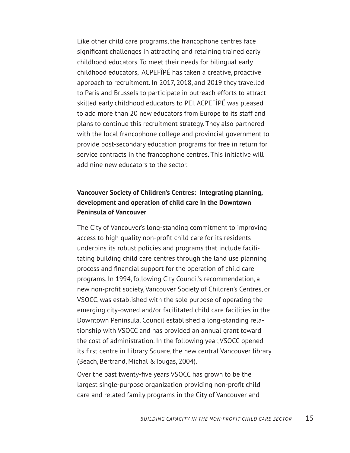Like other child care programs, the francophone centres face significant challenges in attracting and retaining trained early childhood educators. To meet their needs for bilingual early childhood educators, ACPEFÎPÉ has taken a creative, proactive approach to recruitment. In 2017, 2018, and 2019 they travelled to Paris and Brussels to participate in outreach efforts to attract skilled early childhood educators to PEI. ACPEFÎPÉ was pleased to add more than 20 new educators from Europe to its staff and plans to continue this recruitment strategy. They also partnered with the local francophone college and provincial government to provide post-secondary education programs for free in return for service contracts in the francophone centres. This initiative will add nine new educators to the sector.

#### **Vancouver Society of Children's Centres: Integrating planning, development and operation of child care in the Downtown Peninsula of Vancouver**

The City of Vancouver's long-standing commitment to improving access to high quality non-profit child care for its residents underpins its robust policies and programs that include facilitating building child care centres through the land use planning process and financial support for the operation of child care programs. In 1994, following City Council's recommendation, a new non-profit society, Vancouver Society of Children's Centres, or VSOCC, was established with the sole purpose of operating the emerging city-owned and/or facilitated child care facilities in the Downtown Peninsula. Council established a long-standing relationship with VSOCC and has provided an annual grant toward the cost of administration. In the following year, VSOCC opened its first centre in Library Square, the new central Vancouver library (Beach, Bertrand, Michal &Tougas, 2004).

Over the past twenty-five years VSOCC has grown to be the largest single-purpose organization providing non-profit child care and related family programs in the City of Vancouver and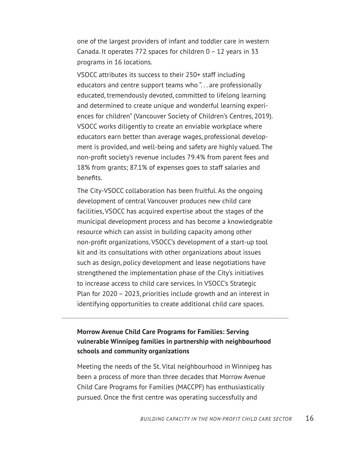one of the largest providers of infant and toddler care in western Canada. It operates 772 spaces for children 0 – 12 years in 33 programs in 16 locations.

VSOCC attributes its success to their 250+ staff including educators and centre support teams who "... are professionally educated, tremendously devoted, committed to lifelong learning and determined to create unique and wonderful learning experiences for children" (Vancouver Society of Children's Centres, 2019). VSOCC works diligently to create an enviable workplace where educators earn better than average wages, professional development is provided, and well-being and safety are highly valued. The non-profit society's revenue includes 79.4% from parent fees and 18% from grants; 87.1% of expenses goes to staff salaries and benefits.

The City-VSOCC collaboration has been fruitful. As the ongoing development of central Vancouver produces new child care facilities, VSOCC has acquired expertise about the stages of the municipal development process and has become a knowledgeable resource which can assist in building capacity among other non-profit organizations. VSOCC's development of a start-up tool kit and its consultations with other organizations about issues such as design, policy development and lease negotiations have strengthened the implementation phase of the City's initiatives to increase access to child care services. In VSOCC's Strategic Plan for 2020 – 2023, priorities include growth and an interest in identifying opportunities to create additional child care spaces.

## **Morrow Avenue Child Care Programs for Families: Serving vulnerable Winnipeg families in partnership with neighbourhood schools and community organizations**

Meeting the needs of the St. Vital neighbourhood in Winnipeg has been a process of more than three decades that Morrow Avenue Child Care Programs for Families (MACCPF) has enthusiastically pursued. Once the first centre was operating successfully and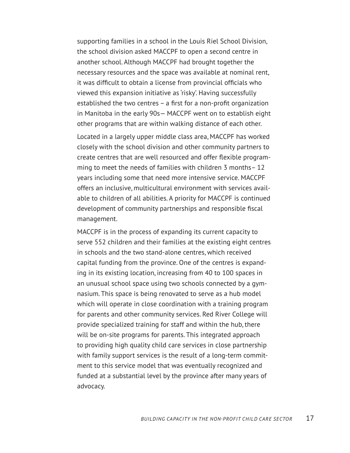supporting families in a school in the Louis Riel School Division, the school division asked MACCPF to open a second centre in another school. Although MACCPF had brought together the necessary resources and the space was available at nominal rent, it was difficult to obtain a license from provincial officials who viewed this expansion initiative as 'risky'. Having successfully established the two centres – a first for a non-profit organization in Manitoba in the early 90s— MACCPF went on to establish eight other programs that are within walking distance of each other.

Located in a largely upper middle class area, MACCPF has worked closely with the school division and other community partners to create centres that are well resourced and offer flexible programming to meet the needs of families with children 3 months– 12 years including some that need more intensive service. MACCPF offers an inclusive, multicultural environment with services available to children of all abilities. A priority for MACCPF is continued development of community partnerships and responsible fiscal management.

MACCPF is in the process of expanding its current capacity to serve 552 children and their families at the existing eight centres in schools and the two stand-alone centres, which received capital funding from the province. One of the centres is expanding in its existing location, increasing from 40 to 100 spaces in an unusual school space using two schools connected by a gymnasium. This space is being renovated to serve as a hub model which will operate in close coordination with a training program for parents and other community services. Red River College will provide specialized training for staff and within the hub, there will be on-site programs for parents. This integrated approach to providing high quality child care services in close partnership with family support services is the result of a long-term commitment to this service model that was eventually recognized and funded at a substantial level by the province after many years of advocacy.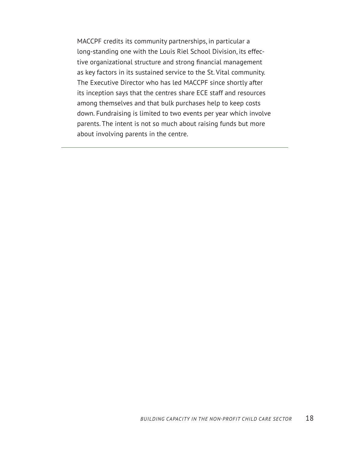MACCPF credits its community partnerships, in particular a long-standing one with the Louis Riel School Division, its effective organizational structure and strong financial management as key factors in its sustained service to the St. Vital community. The Executive Director who has led MACCPF since shortly after its inception says that the centres share ECE staff and resources among themselves and that bulk purchases help to keep costs down. Fundraising is limited to two events per year which involve parents. The intent is not so much about raising funds but more about involving parents in the centre.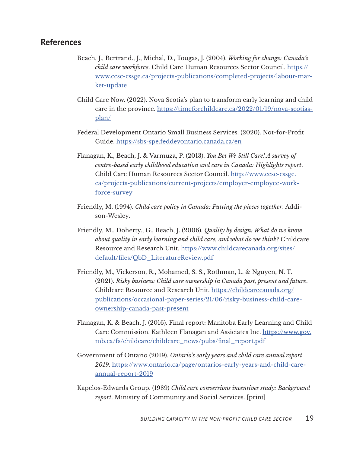#### **References**

- Beach, J., Bertrand., J., Michal, D., Tougas, J. (2004). *Working for change: Canada's child care workforce*. Child Care Human Resources Sector Council. [https://](https://www.ccsc-cssge.ca/projects-publications/completed-projects/labour-market-update) [www.ccsc-cssge.ca/projects-publications/completed-projects/labour-mar](https://www.ccsc-cssge.ca/projects-publications/completed-projects/labour-market-update)[ket-update](https://www.ccsc-cssge.ca/projects-publications/completed-projects/labour-market-update)
- Child Care Now. (2022). Nova Scotia's plan to transform early learning and child care in the province. [https://timeforchildcare.ca/2022/01/19/nova-scotias](https://timeforchildcare.ca/2022/01/19/nova-scotias-plan/)[plan/](https://timeforchildcare.ca/2022/01/19/nova-scotias-plan/)
- Federal Development Ontario Small Business Services. (2020). Not-for-Profit Guide. <https://sbs-spe.feddevontario.canada.ca/en>
- Flanagan, K., Beach, J. & Varmuza, P. (2013). *You Bet We Still Care! A survey of centre-based early childhood education and care in Canada: Highlights report*. Child Care Human Resources Sector Council. [http://www.ccsc-cssge.](http://www.ccsc-cssge.ca/projects-publications/current-projects/employer-employee-workforce-survey) [ca/projects-publications/current-projects/employer-employee-work](http://www.ccsc-cssge.ca/projects-publications/current-projects/employer-employee-workforce-survey)[force-survey](http://www.ccsc-cssge.ca/projects-publications/current-projects/employer-employee-workforce-survey)
- Friendly, M. (1994). *Child care policy in Canada: Putting the pieces together*. Addison-Wesley.
- Friendly, M., Doherty., G., Beach, J. (2006). *Quality by design: What do we know about quality in early learning and child care, and what do we think?* Childcare Resource and Research Unit. [https://www.childcarecanada.org/sites/](https://www.childcarecanada.org/sites/default/files/QbD_LiteratureReview.pdf) [default/files/QbD\\_LiteratureReview.pdf](https://www.childcarecanada.org/sites/default/files/QbD_LiteratureReview.pdf)
- Friendly, M., Vickerson, R., Mohamed, S. S., Rothman, L. & Nguyen, N. T. (2021). *Risky business: Child care ownership in Canada past, present and future*. Childcare Resource and Research Unit. [https://childcarecanada.org/](https://childcarecanada.org/publications/occasional-paper-series/21/06/risky-business-child-care-own) [publications/occasional-paper-series/21/06/risky-business-child-care](https://childcarecanada.org/publications/occasional-paper-series/21/06/risky-business-child-care-own)[ownership-canada-past-present](https://childcarecanada.org/publications/occasional-paper-series/21/06/risky-business-child-care-own)
- Flanagan, K. & Beach, J. (2016). Final report: Manitoba Early Learning and Child Care Commission. Kathleen Flanagan and Assiciates Inc. [https://www.gov.](https://www.gov.mb.ca/fs/childcare/childcare_news/pubs/final_report.pdf) [mb.ca/fs/childcare/childcare\\_news/pubs/final\\_report.pdf](https://www.gov.mb.ca/fs/childcare/childcare_news/pubs/final_report.pdf)
- Government of Ontario (2019). *Ontario's early years and child care annual report 2019*. [https://www.ontario.ca/page/ontarios-early-years-and-child-care](https://www.ontario.ca/page/ontarios-early-years-and-child-care-annual-report-2019)[annual-report-2019](https://www.ontario.ca/page/ontarios-early-years-and-child-care-annual-report-2019)
- Kapelos-Edwards Group. (1989) *Child care conversions incentives study: Background report*. Ministry of Community and Social Services. [print]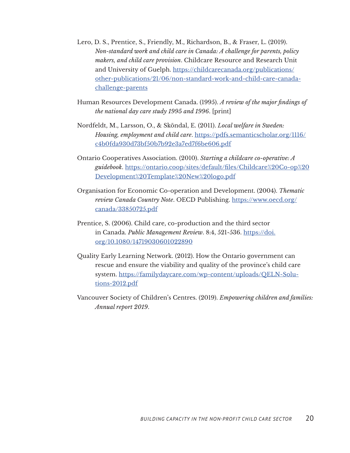- Lero, D. S., Prentice, S., Friendly, M., Richardson, B., & Fraser, L. (2019). *Non-standard work and child care in Canada: A challenge for parents, policy makers, and child care provision*. Childcare Resource and Research Unit and University of Guelph. [https://childcarecanada.org/publications/](https://childcarecanada.org/publications/other-publications/21/06/non-standard-work-and-child-care-c) [other-publications/21/06/non-standard-work-and-child-care-canada](https://childcarecanada.org/publications/other-publications/21/06/non-standard-work-and-child-care-c)[challenge-parents](https://childcarecanada.org/publications/other-publications/21/06/non-standard-work-and-child-care-c)
- Human Resources Development Canada. (1995). *A review of the major findings of the national day care study 1995 and 1996*. [print]
- Nordfeldt, M., Larsson, O., & Sköndal, E. (2011). *Local welfare in Sweden: Housing, employment and child care*. [https://pdfs.semanticscholar.org/1116/](https://pdfs.semanticscholar.org/1116/c4b0fda930d73bf50b7b92e3a7ed7f6be606.pdf) [c4b0fda930d73bf50b7b92e3a7ed7f6be606.pdf](https://pdfs.semanticscholar.org/1116/c4b0fda930d73bf50b7b92e3a7ed7f6be606.pdf)
- Ontario Cooperatives Association. (2010). *Starting a childcare co-operative: A guidebook*. [https://ontario.coop/sites/default/files/Childcare%20Co-op%20](https://ontario.coop/sites/default/files/Childcare%20Co-op%20Development%20Template%20New%20logo.pdf) [Development%20Template%20New%20logo.pdf](https://ontario.coop/sites/default/files/Childcare%20Co-op%20Development%20Template%20New%20logo.pdf)
- Organisation for Economic Co-operation and Development. (2004). *Thematic review Canada Country Note*. OECD Publishing. [https://www.oecd.org/](https://www.oecd.org/canada/33850725.pdf) [canada/33850725.pdf](https://www.oecd.org/canada/33850725.pdf)
- Prentice, S. (2006). Child care, co-production and the third sector in Canada. *Public Management Review*. 8:4, 521-536. [https://doi.](https://doi.org/10.1080/14719030601022890) [org/10.1080/14719030601022890](https://doi.org/10.1080/14719030601022890)
- Quality Early Learning Network. (2012). How the Ontario government can rescue and ensure the viability and quality of the province's child care system. [https://familydaycare.com/wp-content/uploads/QELN-Solu](https://familydaycare.com/wp-content/uploads/QELN-Solutions-2012.pdf)[tions-2012.pdf](https://familydaycare.com/wp-content/uploads/QELN-Solutions-2012.pdf)
- Vancouver Society of Children's Centres. (2019). *Empowering children and families: Annual report 2019*.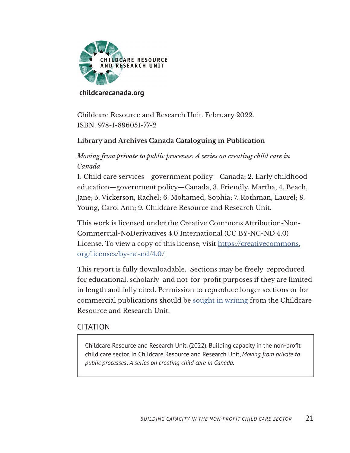

#### **[childcarecanada.org](https://childcarecanada.org)**

Childcare Resource and Research Unit. February 2022. ISBN: 978-1-896051-77-2

## **Library and Archives Canada Cataloguing in Publication**

*Moving from private to public processes: A series on creating child care in Canada*

1. Child care services—government policy—Canada; 2. Early childhood education—government policy—Canada; 3. Friendly, Martha; 4. Beach, Jane; 5. Vickerson, Rachel; 6. Mohamed, Sophia; 7. Rothman, Laurel; 8. Young, Carol Ann; 9. Childcare Resource and Research Unit.

This work is licensed under the Creative Commons Attribution-Non-Commercial-NoDerivatives 4.0 International (CC BY-NC-ND 4.0) License. To view a copy of this license, visit https://creativecommons. org/licenses/by-nc-nd/4.0/

This report is fully downloadable. Sections may be freely reproduced for educational, scholarly and not-for-profit purposes if they are limited in length and fully cited. Permission to reproduce longer sections or for commercial publications should be sought in writing from the Childcare Resource and Research Unit.

#### **CITATION**

Childcare Resource and Research Unit. (2022). Building capacity in the non-profit child care sector. In Childcare Resource and Research Unit, *Moving from private to public processes: A series on creating child care in Canada*.